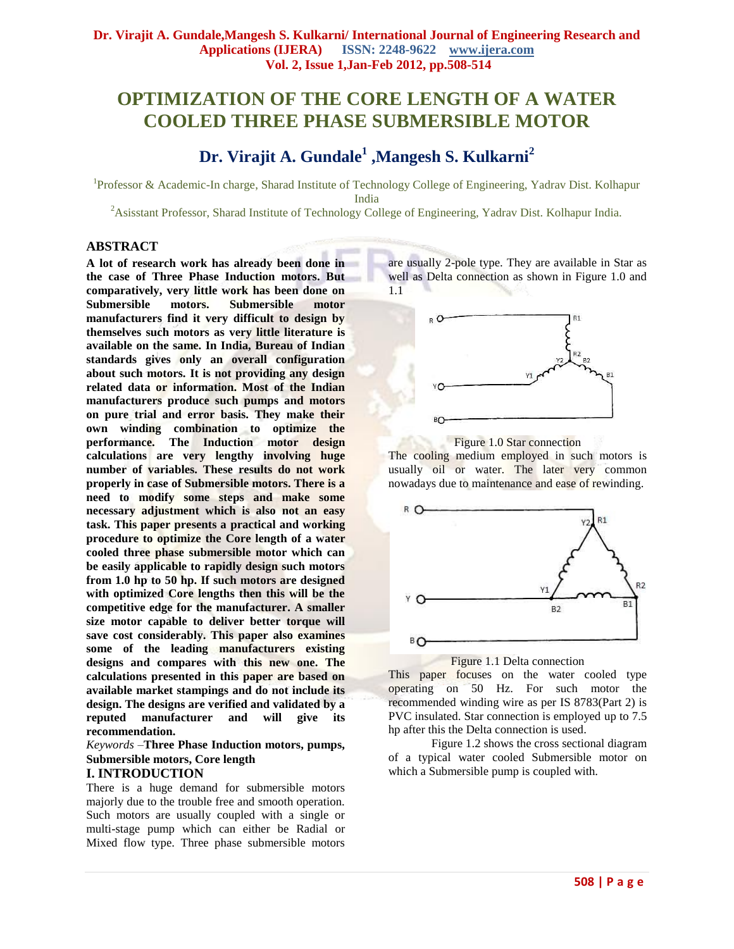## **OPTIMIZATION OF THE CORE LENGTH OF A WATER COOLED THREE PHASE SUBMERSIBLE MOTOR**

# **Dr. Virajit A. Gundale<sup>1</sup> ,Mangesh S. Kulkarni<sup>2</sup>**

<sup>1</sup>Professor & Academic-In charge, Sharad Institute of Technology College of Engineering, Yadrav Dist. Kolhapur India

<sup>2</sup> Asisstant Professor, Sharad Institute of Technology College of Engineering, Yadrav Dist. Kolhapur India.

#### **ABSTRACT**

**A lot of research work has already been done in the case of Three Phase Induction motors. But comparatively, very little work has been done on Submersible motors. Submersible motor manufacturers find it very difficult to design by themselves such motors as very little literature is available on the same. In India, Bureau of Indian standards gives only an overall configuration about such motors. It is not providing any design related data or information. Most of the Indian manufacturers produce such pumps and motors on pure trial and error basis. They make their own winding combination to optimize the performance. The Induction motor design calculations are very lengthy involving huge number of variables. These results do not work properly in case of Submersible motors. There is a need to modify some steps and make some necessary adjustment which is also not an easy task. This paper presents a practical and working procedure to optimize the Core length of a water cooled three phase submersible motor which can be easily applicable to rapidly design such motors from 1.0 hp to 50 hp. If such motors are designed with optimized Core lengths then this will be the competitive edge for the manufacturer. A smaller size motor capable to deliver better torque will save cost considerably. This paper also examines some of the leading manufacturers existing designs and compares with this new one. The calculations presented in this paper are based on available market stampings and do not include its design. The designs are verified and validated by a reputed manufacturer and will give its recommendation.**

*Keywords –***Three Phase Induction motors, pumps, Submersible motors, Core length**

## **I. INTRODUCTION**

There is a huge demand for submersible motors majorly due to the trouble free and smooth operation. Such motors are usually coupled with a single or multi-stage pump which can either be Radial or Mixed flow type. Three phase submersible motors are usually 2-pole type. They are available in Star as well as Delta connection as shown in Figure 1.0 and 1.1



Figure 1.0 Star connection

The cooling medium employed in such motors is usually oil or water. The later very common nowadays due to maintenance and ease of rewinding.





This paper focuses on the water cooled type operating on 50 Hz. For such motor the recommended winding wire as per IS 8783(Part 2) is PVC insulated. Star connection is employed up to 7.5 hp after this the Delta connection is used.

Figure 1.2 shows the cross sectional diagram of a typical water cooled Submersible motor on which a Submersible pump is coupled with.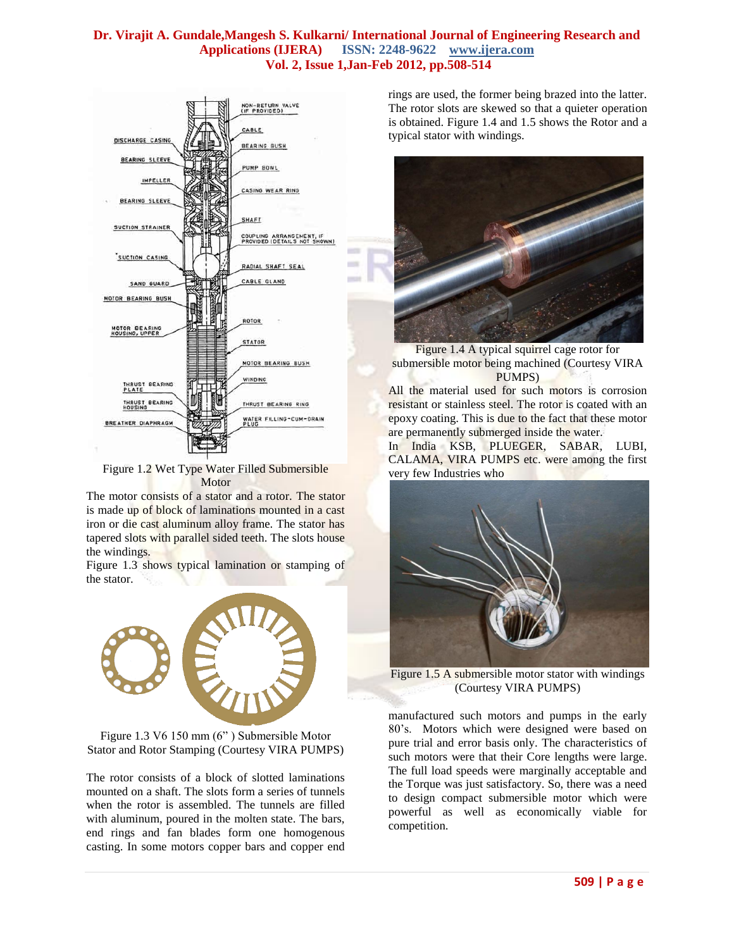$\sim$ 



Figure 1.2 Wet Type Water Filled Submersible Motor

The motor consists of a stator and a rotor. The stator is made up of block of laminations mounted in a cast iron or die cast aluminum alloy frame. The stator has tapered slots with parallel sided teeth. The slots house the windings.

Figure 1.3 shows typical lamination or stamping of the stator.



Figure 1.3 V6 150 mm (6" ) Submersible Motor Stator and Rotor Stamping (Courtesy VIRA PUMPS)

The rotor consists of a block of slotted laminations mounted on a shaft. The slots form a series of tunnels when the rotor is assembled. The tunnels are filled with aluminum, poured in the molten state. The bars, end rings and fan blades form one homogenous casting. In some motors copper bars and copper end

rings are used, the former being brazed into the latter. The rotor slots are skewed so that a quieter operation is obtained. Figure 1.4 and 1.5 shows the Rotor and a typical stator with windings.



Figure 1.4 A typical squirrel cage rotor for submersible motor being machined (Courtesy VIRA PUMPS)

All the material used for such motors is corrosion resistant or stainless steel. The rotor is coated with an epoxy coating. This is due to the fact that these motor are permanently submerged inside the water.

In India KSB, PLUEGER, SABAR, LUBI, CALAMA, VIRA PUMPS etc. were among the first very few Industries who



Figure 1.5 A submersible motor stator with windings (Courtesy VIRA PUMPS)

manufactured such motors and pumps in the early 80's. Motors which were designed were based on pure trial and error basis only. The characteristics of such motors were that their Core lengths were large. The full load speeds were marginally acceptable and the Torque was just satisfactory. So, there was a need to design compact submersible motor which were powerful as well as economically viable for competition.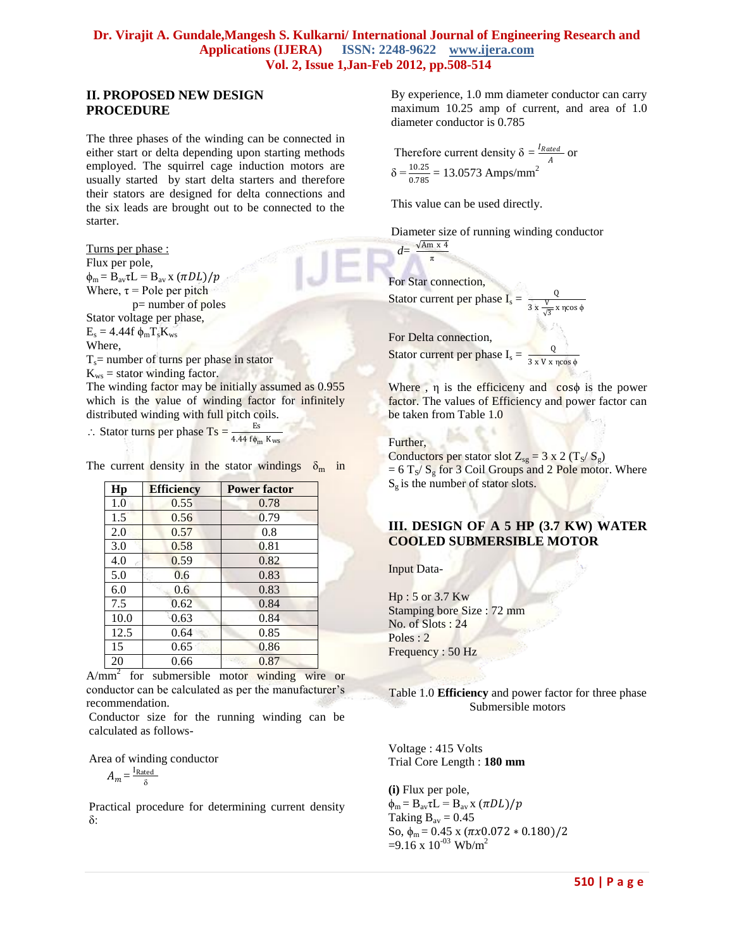## **II. PROPOSED NEW DESIGN PROCEDURE**

The three phases of the winding can be connected in either start or delta depending upon starting methods employed. The squirrel cage induction motors are usually started by start delta starters and therefore their stators are designed for delta connections and the six leads are brought out to be connected to the starter.

Turns per phase : Flux per pole,  $\phi_m = B_{av}\tau L = B_{av}x (\pi DL)/p$ Where,  $\tau$  = Pole per pitch p= number of poles Stator voltage per phase,  $E_s = 4.44f \phi_m T_s K_{ws}$ Where,  $T_s$ = number of turns per phase in stator  $K_{ws}$  = stator winding factor. The winding factor may be initially assumed as 0.955 which is the value of winding factor for infinitely distributed winding with full pitch coils.

∴ Stator turns per phase  $\text{Ts} = \frac{\text{Es}}{4.44 \text{ f} \phi_{\text{m}} \text{ K}_{\text{ws}}}$ 

The current density in the stator windings  $\delta_{\rm m}$  in

| Hp   | <b>Efficiency</b> | <b>Power factor</b> |  |
|------|-------------------|---------------------|--|
| 1.0  | 0.55              | 0.78                |  |
| 1.5  | 0.56              | 0.79                |  |
| 2.0  | 0.57              | 0.8                 |  |
| 3.0  | 0.58              | 0.81                |  |
| 4.0  | 0.59              | 0.82                |  |
| 5.0  | 0.6               | 0.83                |  |
| 6.0  | 0.6               | 0.83                |  |
| 7.5  | 0.62              | 0.84                |  |
| 10.0 | 0.63              | 0.84                |  |
| 12.5 | 0.64              | 0.85                |  |
| 15   | 0.65              | 0.86                |  |
| 20   | 0.66              | 0.87                |  |

A/mm<sup>2</sup> for submersible motor winding wire or conductor can be calculated as per the manufacturer's recommendation.

Conductor size for the running winding can be calculated as follows-

Area of winding conductor

$$
A_m = \frac{I_{\text{Rated}}}{\delta}
$$

Practical procedure for determining current density δ:

By experience, 1.0 mm diameter conductor can carry maximum 10.25 amp of current, and area of 1.0 diameter conductor is 0.785

Therefore current density  $\delta = \frac{I_{Rated}}{4}$  $\frac{d}{A}$  or  $\delta = \frac{10.25}{0.785} = 13.0573$  Amps/mm<sup>2</sup>

This value can be used directly.

π

Diameter size of running winding conductor  $d=$  $\sqrt{Am}$  x 4

For Star connection, Stator current per phase  $I_s = \frac{Q}{\gamma}$  $3x \frac{V}{r}$  $\frac{v}{\sqrt{3}}$  x ηcos φ

For Delta connection, Stator current per phase  $I_s = \frac{Q}{2 \times N \times N}$ 3 x V x ηcos ϕ

Where ,  $\eta$  is the efficiceny and  $\cos\phi$  is the power factor. The values of Efficiency and power factor can be taken from Table 1.0

Further,

Conductors per stator slot  $Z_{sg} = 3 \times 2 \left( T_s / S_g \right)$  $= 6$  T<sub>S</sub>/ S<sub>g</sub> for 3 Coil Groups and 2 Pole motor. Where  $S_g$  is the number of stator slots.

## **III. DESIGN OF A 5 HP (3.7 KW) WATER COOLED SUBMERSIBLE MOTOR**

Input Data-

Hp : 5 or 3.7 Kw Stamping bore Size : 72 mm No. of Slots : 24 Poles : 2 Frequency : 50 Hz

Table 1.0 **Efficiency** and power factor for three phase Submersible motors

Voltage : 415 Volts Trial Core Length : **180 mm**

**(i)** Flux per pole,  $\phi_m = B_{av}\tau L = B_{av}x (\pi DL)/p$ Taking  $B_{av} = 0.45$ So,  $\phi_m = 0.45 \times (\pi x 0.072 \times 0.180)/2$  $=9.16 \times 10^{-03}$  Wb/m<sup>2</sup>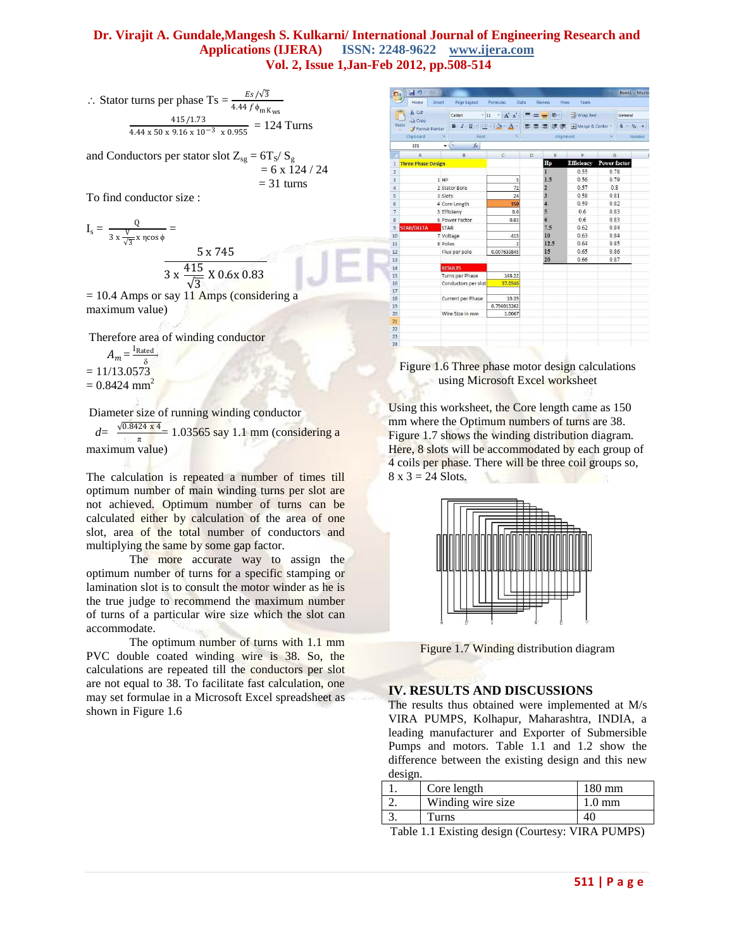$\therefore$  Stator turns per phase Ts =  $\frac{Es/\sqrt{3}}{4A+Si}$  $4.44 f \phi_{mK_{WS}}$ <br>415/1.73  $\frac{41371.73}{4.44 \times 50 \times 9.16 \times 10^{-3} \times 0.955} = 124$  Turns

and Conductors per stator slot  $Z_{sg} = 6T_S/S_g$  $= 6 \times 124 / 24$  $= 31$  turns

To find conductor size :

$$
I_s = \frac{Q}{3 \times \frac{V}{\sqrt{3}} \times \pi \cos \phi} = \frac{5 \times 745}{3 \times \frac{415}{\sqrt{3}} \times 0.6 \times 0.83}
$$
  
= 10.4 Amms or say 11.4 mms (consideri)

 $= 10.4$  Amps or say 11 Amps (considering a maximum value)

Therefore area of winding conductor  $A_m = \frac{I_{\text{Rated}}}{s}$ 

 $= 11/13.0573$  $= 0.8424$  mm<sup>2</sup>

Diameter size of running winding conductor

 $d = \frac{\sqrt{0.8424 \times 4}}{4}$  $\frac{\pi}{\pi}$  = 1.03565 say 1.1 mm (considering a maximum value)

The calculation is repeated a number of times till optimum number of main winding turns per slot are not achieved. Optimum number of turns can be calculated either by calculation of the area of one slot, area of the total number of conductors and multiplying the same by some gap factor.

The more accurate way to assign the optimum number of turns for a specific stamping or lamination slot is to consult the motor winder as he is the true judge to recommend the maximum number of turns of a particular wire size which the slot can accommodate.

The optimum number of turns with 1.1 mm PVC double coated winding wire is 38. So, the calculations are repeated till the conductors per slot are not equal to 38. To facilitate fast calculation, one may set formulae in a Microsoft Excel spreadsheet as shown in Figure 1.6

| 日 17-06 18<br>Home<br>Insert | Page Layout                             | Formulas<br>Data                           | Review                     | View            | Team                     |                     | Book1 - Micros    |
|------------------------------|-----------------------------------------|--------------------------------------------|----------------------------|-----------------|--------------------------|---------------------|-------------------|
| & Cut<br><b>Da Copy</b>      | Calibri                                 | $\mathbf{A}$ + $\mathbf{A}$ + $\mathbf{A}$ | $\equiv \equiv \equiv \gg$ |                 | Wrap Text                |                     | General           |
| aste<br>Format Painter       | $B$ $I$ $U$ $\cdot$ $\cdot$ $A$ $\cdot$ |                                            |                            |                 | ■ ■ 建建 図Merge & Center * |                     | $S - \frac{9}{6}$ |
| Clipboard                    | 衔<br>Font                               | $\sqrt{2}$                                 |                            | Alignment       |                          | $T_{\rm H}$         | Number            |
| 121                          | $ \circ$<br>$f_x$                       |                                            |                            |                 |                          |                     |                   |
| A                            | B                                       | $\mathcal{C}$                              | D                          | E               | F                        | G                   |                   |
| <b>Three Phase Design</b>    |                                         |                                            |                            | Hp              | <b>Efficiency</b>        | <b>Power factor</b> |                   |
|                              |                                         |                                            |                            | $\mathbf{I}$    | 0.55                     | 0.78                |                   |
|                              | $1$ HP                                  | 5                                          |                            | 1.5             | 0.56                     | 0.79                |                   |
|                              | 2 Stator Bore                           | 72                                         |                            | $\overline{2}$  | 0.57                     | 0.8                 |                   |
|                              | 3 Slots                                 | 24                                         |                            | 3               | 0.58                     | 0.81                |                   |
|                              | 4 Core Length                           | 150                                        |                            | $\overline{4}$  | 0.59                     | 0.82                |                   |
|                              | 5 Efficieny                             | 0.6                                        |                            | 5               | 0.6                      | 0.83                |                   |
|                              | 6 Power Factor                          | 0.83                                       |                            | $6\overline{6}$ | 0.6                      | 0.83                |                   |
| <b>STAR/DELTA</b>            | <b>STAR</b>                             |                                            |                            | 7.5             | 0.62                     | 0.84                |                   |
|                              | 7 Voltage                               | 415                                        |                            | 10              | 0.63                     | 0.84                |                   |
|                              | 8 Poles                                 | $\overline{\phantom{a}}$                   |                            | 12.5            | 0.64                     | 0.85                |                   |
|                              | Flux per pole                           | 0.007633845                                |                            | 15              | 0.65                     | 0.86                |                   |
|                              |                                         |                                            |                            | 20              | 0.66                     | 0.87                |                   |
|                              | <b>RESULTS</b>                          |                                            |                            |                 |                          |                     |                   |
|                              | Turns per Phase                         | 148.22                                     |                            |                 |                          |                     |                   |
|                              | Conductors per slot                     | 37,0546                                    |                            |                 |                          |                     |                   |
|                              | Current per Phase                       | 10.39                                      |                            |                 |                          |                     |                   |
|                              |                                         | 0.796013262                                |                            |                 |                          |                     |                   |
|                              | Wire Size in mm                         | 1.0067                                     |                            |                 |                          |                     |                   |
|                              |                                         |                                            |                            |                 |                          |                     |                   |
|                              |                                         |                                            |                            |                 |                          |                     |                   |

#### Figure 1.6 Three phase motor design calculations using Microsoft Excel worksheet

Using this worksheet, the Core length came as 150 mm where the Optimum numbers of turns are 38. Figure 1.7 shows the winding distribution diagram. Here, 8 slots will be accommodated by each group of 4 coils per phase. There will be three coil groups so,  $8 \times 3 = 24$  Slots.





## **IV. RESULTS AND DISCUSSIONS**

The results thus obtained were implemented at M/s VIRA PUMPS, Kolhapur, Maharashtra, INDIA, a leading manufacturer and Exporter of Submersible Pumps and motors. Table 1.1 and 1.2 show the difference between the existing design and this new design.

| Core length        | 180 mm |
|--------------------|--------|
| Winding wire size. | 0 mm   |
| Turns              |        |

Table 1.1 Existing design (Courtesy: VIRA PUMPS)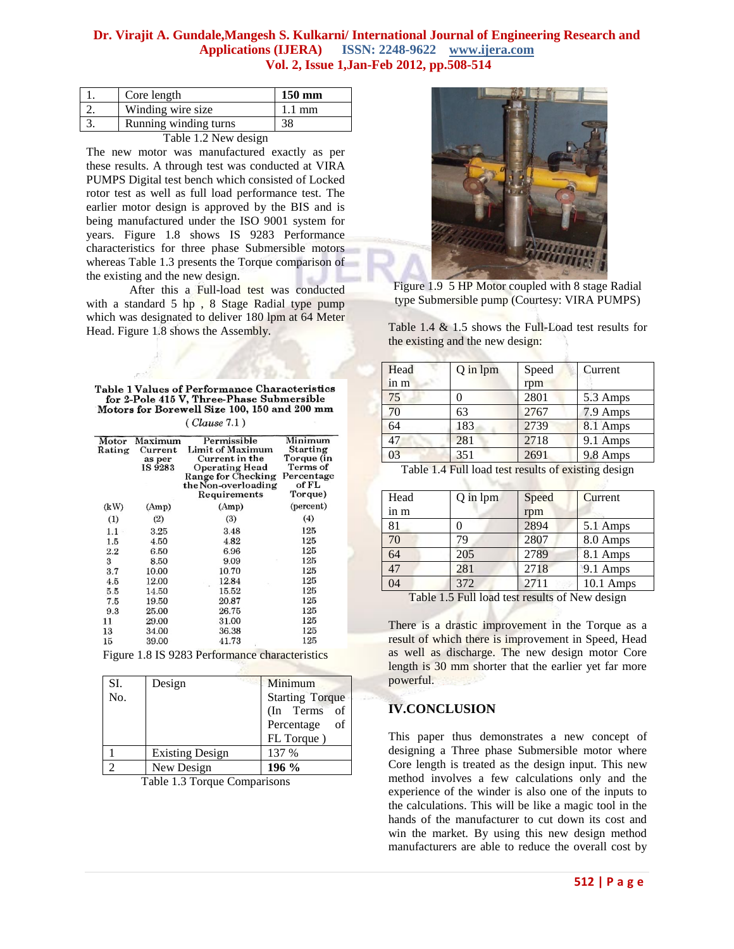| Core length           | $150 \text{ mm}$ |
|-----------------------|------------------|
| Winding wire size     | 1.1 mm           |
| Running winding turns |                  |

| Table 1.2 New design |  |
|----------------------|--|
|----------------------|--|

The new motor was manufactured exactly as per these results. A through test was conducted at VIRA PUMPS Digital test bench which consisted of Locked rotor test as well as full load performance test. The earlier motor design is approved by the BIS and is being manufactured under the ISO 9001 system for years. Figure 1.8 shows IS 9283 Performance characteristics for three phase Submersible motors whereas Table 1.3 presents the Torque comparison of the existing and the new design.

After this a Full-load test was conducted with a standard 5 hp , 8 Stage Radial type pump which was designated to deliver 180 lpm at 64 Meter Head. Figure 1.8 shows the Assembly.

| Table 1 Values of Performance Characteristics |
|-----------------------------------------------|
| for 2-Pole 415 V. Three-Phase Submersible     |
| Motors for Borewell Size 100, 150 and 200 mm  |
|                                               |

 $(Clause 7.1)$ 

| Motor<br>Rating | Maximum<br>Current<br>as per<br>IS 9283 | Permissible<br>Limit of Maximum<br>Current in the<br><b>Operating Head</b><br>Range for Checking<br>the Non-overloading<br>Requirements | Minimum<br>Starting<br>Torque (in<br>Terms of<br>Percentage<br>of FL<br>Torque) |
|-----------------|-----------------------------------------|-----------------------------------------------------------------------------------------------------------------------------------------|---------------------------------------------------------------------------------|
| (kW)            | (Amp)                                   | (Amp)                                                                                                                                   | (percent)                                                                       |
| (1)             | (2)                                     | (3)                                                                                                                                     | (4)                                                                             |
| 1.1             | 3.25                                    | 3.48                                                                                                                                    | 125                                                                             |
| 1.5             | 4.50                                    | 4.82                                                                                                                                    | 125                                                                             |
| 2.2             | 6.50                                    | 6.96                                                                                                                                    | 125                                                                             |
| 3               | 8.50                                    | 9.09                                                                                                                                    | 125                                                                             |
| 3.7             | 10.00                                   | 10.70                                                                                                                                   | 125                                                                             |
| 4.5             | 12.00                                   | 12.84                                                                                                                                   | 125                                                                             |
| 5.5             | 14.50                                   | 15.52                                                                                                                                   | 125                                                                             |
| 7.5             | 19.50                                   | 20.87                                                                                                                                   | 125                                                                             |
| 9.3             | 25.00                                   | 26.75                                                                                                                                   | 125                                                                             |
| 11              | 29.00                                   | 31.00                                                                                                                                   | 125                                                                             |
| 13              | 34.00                                   | 36.38                                                                                                                                   | 125                                                                             |
| 15              | 39.00                                   | 41.73                                                                                                                                   | 125                                                                             |

Figure 1.8 IS 9283 Performance characteristics

| SI. | Design                 | Minimum                |
|-----|------------------------|------------------------|
| No. |                        | <b>Starting Torque</b> |
|     |                        | (In Terms of           |
|     |                        | of<br>Percentage       |
|     |                        | FL Torque)             |
|     | <b>Existing Design</b> | 137 %                  |
|     | New Design             | $196\%$                |

Table 1.3 Torque Comparisons



Figure 1.9 5 HP Motor coupled with 8 stage Radial type Submersible pump (Courtesy: VIRA PUMPS)

Table 1.4 & 1.5 shows the Full-Load test results for the existing and the new design:

| Head | Q in lpm | Speed | Current  |
|------|----------|-------|----------|
| in m |          | rpm   |          |
| 75   |          | 2801  | 5.3 Amps |
| 70   | 63       | 2767  | 7.9 Amps |
| 64   | 183      | 2739  | 8.1 Amps |
| 47   | 281      | 2718  | 9.1 Amps |
| 03   | 351      | 2691  | 9.8 Amps |

| Table 1.4 Full load test results of existing design |  |  |
|-----------------------------------------------------|--|--|
|-----------------------------------------------------|--|--|

| Head | Q in lpm | Speed | Current     |
|------|----------|-------|-------------|
| in m |          | rpm   |             |
| 81   |          | 2894  | 5.1 Amps    |
| 70   | 79       | 2807  | 8.0 Amps    |
| 64   | 205      | 2789  | 8.1 Amps    |
| 47   | 281      | 2718  | 9.1 Amps    |
| 04   | 372      | 2711  | $10.1$ Amps |
|      |          |       | ----        |

Table 1.5 Full load test results of New design

There is a drastic improvement in the Torque as a result of which there is improvement in Speed, Head as well as discharge. The new design motor Core length is 30 mm shorter that the earlier yet far more powerful.

## **IV.CONCLUSION**

This paper thus demonstrates a new concept of designing a Three phase Submersible motor where Core length is treated as the design input. This new method involves a few calculations only and the experience of the winder is also one of the inputs to the calculations. This will be like a magic tool in the hands of the manufacturer to cut down its cost and win the market. By using this new design method manufacturers are able to reduce the overall cost by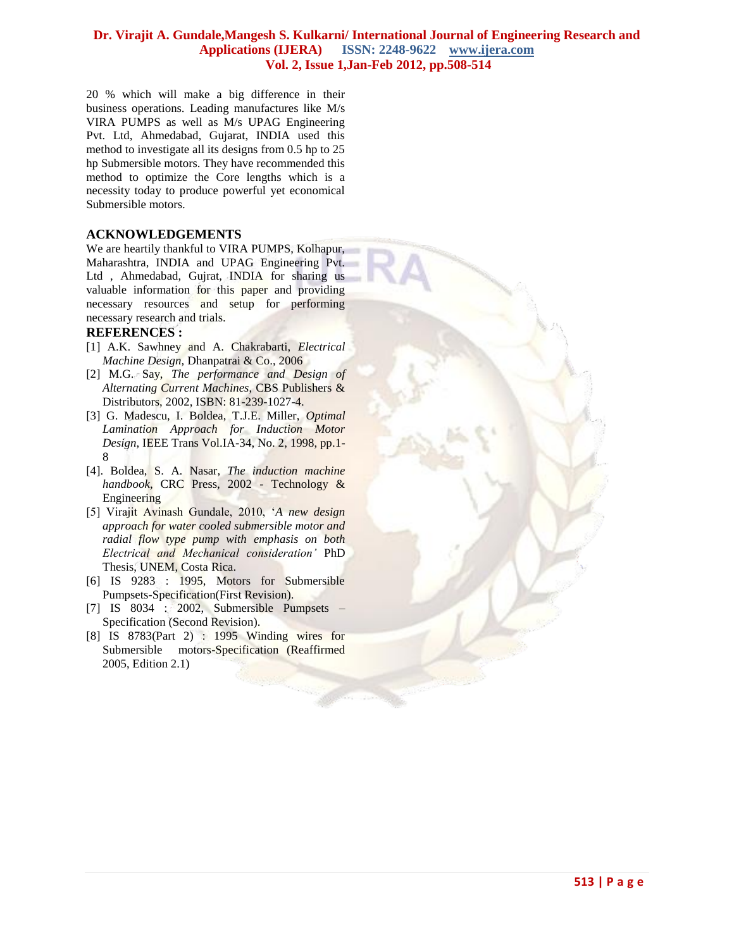20 % which will make a big difference in their business operations. Leading manufactures like M/s VIRA PUMPS as well as M/s UPAG Engineering Pvt. Ltd, Ahmedabad, Gujarat, INDIA used this method to investigate all its designs from 0.5 hp to 25 hp Submersible motors. They have recommended this method to optimize the Core lengths which is a necessity today to produce powerful yet economical Submersible motors.

#### **ACKNOWLEDGEMENTS**

We are heartily thankful to VIRA PUMPS, Kolhapur, Maharashtra, INDIA and UPAG Engineering Pvt. Ltd , Ahmedabad, Gujrat, INDIA for sharing us valuable information for this paper and providing necessary resources and setup for performing necessary research and trials.

#### **REFERENCES :**

- [1] A.K. Sawhney and A. Chakrabarti, *Electrical Machine Design,* Dhanpatrai & Co., 2006
- [2] M.G. Say, *The performance and Design of Alternating Current Machines*, CBS Publishers & Distributors, 2002, ISBN: 81-239-1027-4.
- [3] G. Madescu, I. Boldea, T.J.E. Miller, *Optimal Lamination Approach for Induction Motor Design*, IEEE Trans Vol.IA-34, No. 2, 1998, pp.1- 8
- [4[\]. Boldea,](http://www.google.co.uk/search?tbo=p&tbm=bks&q=inauthor:%22I.+Boldea%22) [S. A. Nasar,](http://www.google.co.uk/search?tbo=p&tbm=bks&q=inauthor:%22S.+A.+Nasar%22) *The induction machine handbook*, CRC Press, 2002 - [Technology &](http://www.google.co.uk/search?tbo=p&tbm=bks&q=subject:%22Technology+%26+Engineering%22&source=gbs_ge_summary_r&cad=0)  [Engineering](http://www.google.co.uk/search?tbo=p&tbm=bks&q=subject:%22Technology+%26+Engineering%22&source=gbs_ge_summary_r&cad=0)
- [5] Virajit Avinash Gundale, 2010, '*A new design approach for water cooled submersible motor and radial flow type pump with emphasis on both Electrical and Mechanical consideration'* PhD Thesis, UNEM, Costa Rica.
- [6] IS 9283 : 1995, Motors for Submersible Pumpsets-Specification(First Revision).
- [7] IS 8034 : 2002, Submersible Pumpsets Specification (Second Revision).
- [8] IS 8783(Part 2) : 1995 Winding wires for Submersible motors-Specification (Reaffirmed 2005, Edition 2.1)